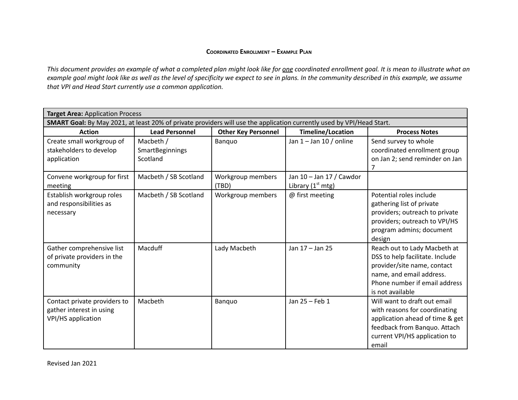## **COORDINATED ENROLLMENT – EXAMPLE PLAN**

This document provides an example of what a completed plan might look like for one coordinated enrollment goal. It is mean to illustrate what an example goal might look like as well as the level of specificity we expect to see in plans. In the community described in this example, we assume *that VPI and Head Start currently use a common application.*

| <b>Target Area: Application Process</b>                                                                               |                                          |                            |                                                 |                                                                                                                                                                                 |  |  |  |
|-----------------------------------------------------------------------------------------------------------------------|------------------------------------------|----------------------------|-------------------------------------------------|---------------------------------------------------------------------------------------------------------------------------------------------------------------------------------|--|--|--|
| SMART Goal: By May 2021, at least 20% of private providers will use the application currently used by VPI/Head Start. |                                          |                            |                                                 |                                                                                                                                                                                 |  |  |  |
| <b>Action</b>                                                                                                         | <b>Lead Personnel</b>                    | <b>Other Key Personnel</b> | <b>Timeline/Location</b>                        | <b>Process Notes</b>                                                                                                                                                            |  |  |  |
| Create small workgroup of<br>stakeholders to develop<br>application                                                   | Macbeth /<br>SmartBeginnings<br>Scotland | Banguo                     | Jan $1 -$ Jan $10/$ online                      | Send survey to whole<br>coordinated enrollment group<br>on Jan 2; send reminder on Jan<br>7                                                                                     |  |  |  |
| Convene workgroup for first<br>meeting                                                                                | Macbeth / SB Scotland                    | Workgroup members<br>(TBD) | Jan 10 - Jan 17 / Cawdor<br>Library $(1st mtg)$ |                                                                                                                                                                                 |  |  |  |
| Establish workgroup roles<br>and responsibilities as<br>necessary                                                     | Macbeth / SB Scotland                    | Workgroup members          | @ first meeting                                 | Potential roles include<br>gathering list of private<br>providers; outreach to private<br>providers; outreach to VPI/HS<br>program admins; document<br>design                   |  |  |  |
| Gather comprehensive list<br>of private providers in the<br>community                                                 | Macduff                                  | Lady Macbeth               | Jan 17 - Jan 25                                 | Reach out to Lady Macbeth at<br>DSS to help facilitate. Include<br>provider/site name, contact<br>name, and email address.<br>Phone number if email address<br>is not available |  |  |  |
| Contact private providers to<br>gather interest in using<br>VPI/HS application                                        | Macbeth                                  | Banquo                     | Jan 25 - Feb 1                                  | Will want to draft out email<br>with reasons for coordinating<br>application ahead of time & get<br>feedback from Banquo. Attach<br>current VPI/HS application to<br>email      |  |  |  |